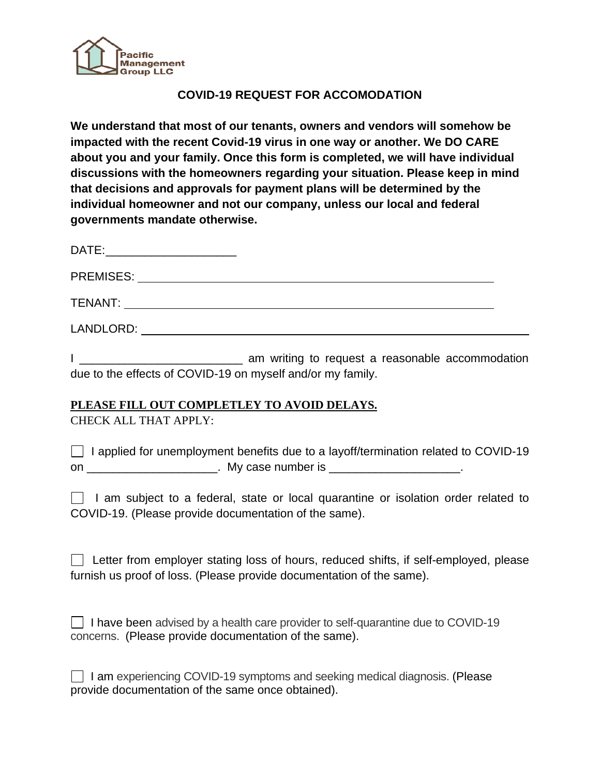

## **COVID-19 REQUEST FOR ACCOMODATION**

**We understand that most of our tenants, owners and vendors will somehow be impacted with the recent Covid-19 virus in one way or another. We DO CARE about you and your family. Once this form is completed, we will have individual discussions with the homeowners regarding your situation. Please keep in mind that decisions and approvals for payment plans will be determined by the individual homeowner and not our company, unless our local and federal governments mandate otherwise.**

| DATE:<br>the control of the control of the control of the control of the control of the control of |  |
|----------------------------------------------------------------------------------------------------|--|
| <b>PREMISES:</b>                                                                                   |  |
| TENANT:                                                                                            |  |
| LANDLORD:                                                                                          |  |

I \_\_\_\_\_\_\_\_\_\_\_\_\_\_\_\_\_\_\_\_\_\_\_\_\_ am writing to request a reasonable accommodation due to the effects of COVID-19 on myself and/or my family.

## **PLEASE FILL OUT COMPLETLEY TO AVOID DELAYS.**

CHECK ALL THAT APPLY:

|    | $\Box$ I applied for unemployment benefits due to a layoff/termination related to COVID-19 |  |  |
|----|--------------------------------------------------------------------------------------------|--|--|
| on | My case number is                                                                          |  |  |

|  |  |  |  | I am subject to a federal, state or local quarantine or isolation order related to |  |  |  |
|--|--|--|--|------------------------------------------------------------------------------------|--|--|--|
|  |  |  |  | COVID-19. (Please provide documentation of the same).                              |  |  |  |

| Letter from employer stating loss of hours, reduced shifts, if self-employed, please |  |  |  |  |  |
|--------------------------------------------------------------------------------------|--|--|--|--|--|
| furnish us proof of loss. (Please provide documentation of the same).                |  |  |  |  |  |

| $\Box$ I have been advised by a health care provider to self-quarantine due to COVID-19 |
|-----------------------------------------------------------------------------------------|
| concerns. (Please provide documentation of the same).                                   |

| □ I am experiencing COVID-19 symptoms and seeking medical diagnosis. (Please |  |
|------------------------------------------------------------------------------|--|
| provide documentation of the same once obtained).                            |  |